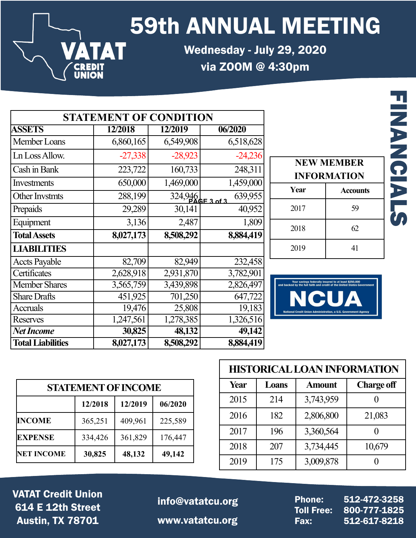59th ANNUAL MEETING

Wednesday - July 29, 2020 via ZOOM @ 4:30pm

|                          |           | <b>STATEMENT OF CONDITION</b> |           |
|--------------------------|-----------|-------------------------------|-----------|
| <b>ASSETS</b>            | 12/2018   | 12/2019                       | 06/2020   |
| Member Loans             | 6,860,165 | 6,549,908                     | 6,518,628 |
| Ln Loss Allow.           | $-27,338$ | $-28,923$                     | $-24,236$ |
| Cash in Bank             | 223,722   | 160,733                       | 248,311   |
| Investments              | 650,000   | 1,469,000                     | 1,459,000 |
| Other Invstmts           | 288,199   | $324,946$<br>PAGE 3 of 3      | 639,955   |
| Prepaids                 | 29,289    | 30,141                        | 40,952    |
| Equipment                | 3,136     | 2,487                         | 1,809     |
| <b>Total Assets</b>      | 8,027,173 | 8,508,292                     | 8,884,419 |
| <b>LIABILITIES</b>       |           |                               |           |
| <b>Accts Payable</b>     | 82,709    | 82,949                        | 232,458   |
| Certificates             | 2,628,918 | 2,931,870                     | 3,782,901 |
| <b>Member Shares</b>     | 3,565,759 | 3,439,898                     | 2,826,497 |
| <b>Share Drafts</b>      | 451,925   | 701,250                       | 647,722   |
| <b>Accruals</b>          | 19,476    | 25,808                        | 19,183    |
| <b>Reserves</b>          | 1,247,561 | 1,278,385                     | 1,326,516 |
| <b>Net Income</b>        | 30,825    | 48,132                        | 49,142    |
| <b>Total Liabilities</b> | 8,027,173 | 8,508,292                     | 8,884,419 |

**VATAT** 

**CREDIT<br>UNION** 

|      | <b>NEW MEMBER</b><br><b>INFORMATION</b> |
|------|-----------------------------------------|
| Year | <b>Accounts</b>                         |
| 2017 | 59                                      |
| 2018 | 62.                                     |
| 2019 | 41                                      |

**FINANCIALS** 

**FINANCI** 



|                   | <b>STATEMENT OF INCOME</b> |         |         |
|-------------------|----------------------------|---------|---------|
|                   | 12/2018                    | 12/2019 | 06/2020 |
| <b>INCOME</b>     | 365,251                    | 409,961 | 225,589 |
| <b>EXPENSE</b>    | 334,426                    | 361,829 | 176,447 |
| <b>NET INCOME</b> | 30,825                     | 48,132  | 49,142  |

|     | <b>STATEMENT OF INCOME</b> |         |         |
|-----|----------------------------|---------|---------|
|     | 12/2018                    | 12/2019 | 06/2020 |
| E.  | 365,251                    | 409,961 | 225,589 |
| šЕ  | 334,426                    | 361,829 | 176,447 |
| OME |                            |         | 49,142  |
|     | 30,825                     | 48,132  |         |

VATAT Credit Union 614 E 12th Street Austin, TX 78701 www.vatatcu.org

info@vatatcu.org Phone: 512-472-3258<br>Toll Free: 800-777-1825

Toll Free: 800-777-1825 Fax: 512-617-8218